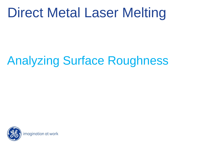# Direct Metal Laser Melting

# Analyzing Surface Roughness

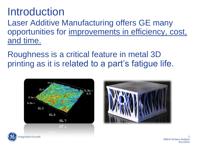### Introduction

Laser Additive Manufacturing offers GE many opportunities for improvements in efficiency, cost, and time.

Roughness is a critical feature in metal 3D printing as it is related to a part's fatigue life.







2 DMLM Surface Analysis 9/11/2015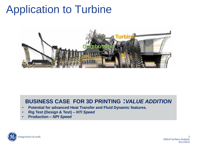## Application to Turbine



### **BUSINESS CASE FOR 3D PRINTING :***VALUE ADDITION*

- **Potential for advanced Heat Transfer and Fluid Dynamic features.**
- **Rig Test (Design & Test) –** *NTI Speed*
- **Production –** *NPI Speed*



3 DMLM Surface Analysis 9/11/2015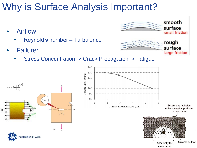### Why is Surface Analysis Important?

- Airflow:
	- Reynold's number Turbulence
- Failure:
	- Stress Concentration -> Crack Propagation -> Fatigue



smooth

surface

rough surface

small friction

large friction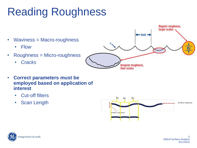# Reading Roughness



- **Correct parameters must be employed based on application of interest**
	- Cut-off filters
	- Scan Length



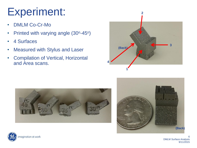## Experiment:

- DMLM Co-Cr-Mo
- Printed with varying angle (30°-45°)
- 4 Surfaces
- Measured with Stylus and Laser
- Compilation of Vertical, Horizontal and Area scans.









6 DMLM Surface Analysis 9/11/2015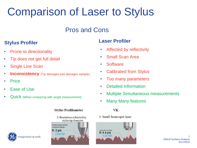## Comparison of Laser to Stylus

### Pros and Cons

### **Laser Profiler Stylus Profiler**

- Prone to directionality
- Tip does not get full detail
- Single Line Scan
- **Inconsistency** (Tip damages and damages sample)
- Price
- Ease of Use
- Quick (When comparing with single measurement)

#### **Stylus Profilometer**



### magination at work

- Affected by reflectivity
- Small Scan Area
- Software
- Calibrated from Stylus
- Too many parameters
- Detailed Information
- Multiple Simultaneous measurements
- Many Many features

#### **VK**

3. Small beam-spot laser

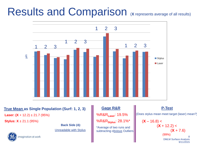### Results and Comparison (X represents average of all results)



#### **True Mean as Single Population (Surf: 1, 2, 3)**

**Laser:**  $(X + 12.2) \pm 21.7$  (95%)

**Stylus:**  $X \pm 21.1$  **(95%)** 

**Back Side (4):** Unreadable with Stylus

### magination at work

#### **Gage R&R**

%R&R**Laser**: 19.5% %R&R**Stylus**: 28.1%\* \*Average of two runs and subtracting obvious Outliers

#### **P-Test**

(Does stylus mean meet target (laser) mean?)

$$
(\mathbf{X} - 16.8) <
$$
  
\n
$$
(\mathbf{X} + 12.2) <
$$
  
\n
$$
(\mathbf{X} + 7.6)
$$
  
\n(99%)  
\n<sup>8</sup>  
\n<sup>8</sup>  
\n<sup>8</sup>  
\n9/11/2015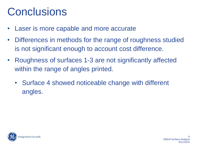## **Conclusions**

- Laser is more capable and more accurate
- Differences in methods for the range of roughness studied is not significant enough to account cost difference.
- Roughness of surfaces 1-3 are not significantly affected within the range of angles printed.
	- Surface 4 showed noticeable change with different angles.